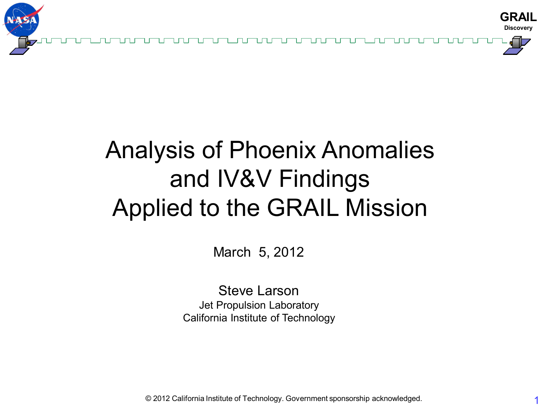

## Analysis of Phoenix Anomalies and IV&V Findings Applied to the GRAIL Mission

March 5, 2012

Steve Larson Jet Propulsion Laboratory California Institute of Technology

© 2012 California Institute of Technology. Government sponsorship acknowledged.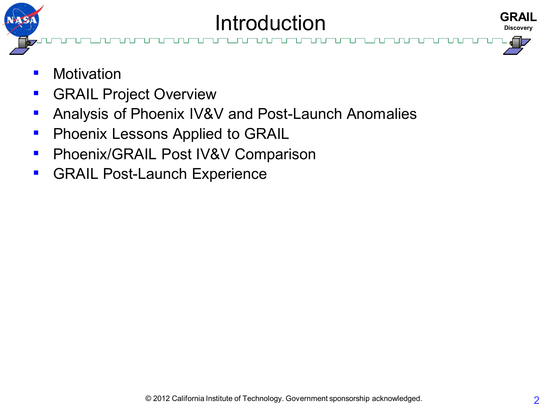

- Motivation
- **E** GRAIL Project Overview
- Analysis of Phoenix IV&V and Post-Launch Anomalies
- **Phoenix Lessons Applied to GRAIL**
- **Phoenix/GRAIL Post IV&V Comparison**
- GRAIL Post-Launch Experience

**GRAIL Discovery**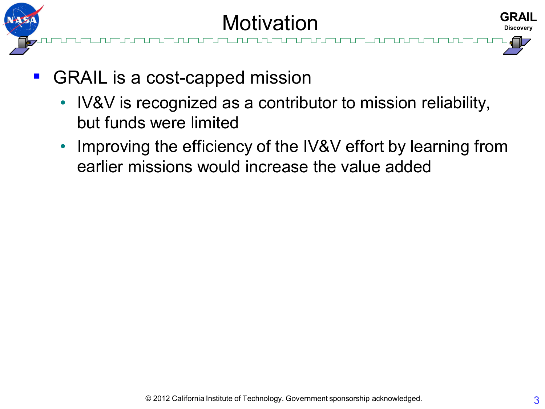

- GRAIL is a cost-capped mission
	- IV&V is recognized as a contributor to mission reliability, but funds were limited
	- Improving the efficiency of the IV&V effort by learning from earlier missions would increase the value added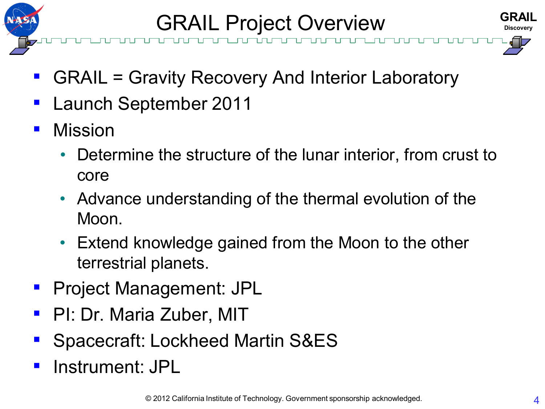

**GRAIL Project Overview** 



- GRAIL = Gravity Recovery And Interior Laboratory
- Launch September 2011
- Mission
	- Determine the structure of the lunar interior, from crust to core
	- Advance understanding of the thermal evolution of the Moon.
	- Extend knowledge gained from the Moon to the other terrestrial planets.
- **Project Management: JPL**
- **PI: Dr. Maria Zuber, MIT**
- Spacecraft: Lockheed Martin S&ES
- Instrument: JPL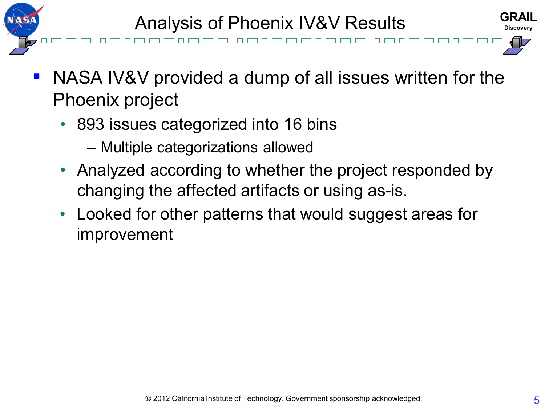



- NASA IV&V provided a dump of all issues written for the Phoenix project
	- 893 issues categorized into 16 bins
		- Multiple categorizations allowed
	- Analyzed according to whether the project responded by changing the affected artifacts or using as-is.
	- Looked for other patterns that would suggest areas for improvement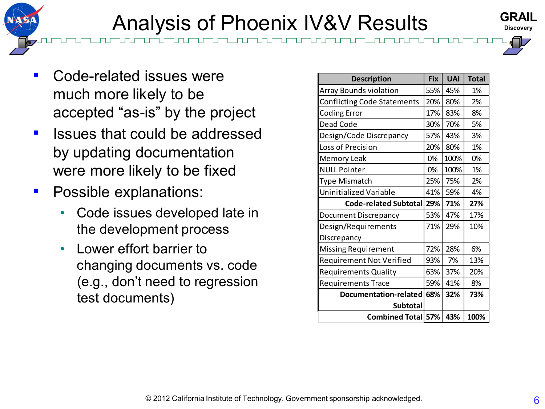### **Analysis of Phoenix IV&V Results**

- Code-related issues were much more likely to be accepted "as-is" by the project
- Issues that could be addressed by updating documentation were more likely to be fixed
- **•** Possible explanations:
	- Code issues developed late in the development process
	- Lower effort barrier to changing documents vs. code (e.g., don't need to regression test documents)

| <b>Description</b>                 | <b>Fix</b> | <b>UAI</b> | <b>Total</b> |
|------------------------------------|------------|------------|--------------|
| <b>Array Bounds violation</b>      | 55%        | 45%        | 1%           |
| <b>Conflicting Code Statements</b> | 20%        | 80%        | 2%           |
| <b>Coding Error</b>                | 17%        | 83%        | 8%           |
| Dead Code                          | 30%        | 70%        | 5%           |
| Design/Code Discrepancy            | 57%        | 43%        | 3%           |
| Loss of Precision                  | 20%        | 80%        | 1%           |
| Memory Leak                        | 0%         | 100%       | 0%           |
| <b>NULL Pointer</b>                | 0%         | 100%       | 1%           |
| <b>Type Mismatch</b>               | 25%        | 75%        | 2%           |
| Uninitialized Variable             | 41%        | 59%        | 4%           |
| Code-related Subtotal              | 29%        | 71%        | 27%          |
| Document Discrepancy               | 53%        | 47%        | 17%          |
| Design/Requirements                | 71%        | 29%        | 10%          |
| Discrepancy                        |            |            |              |
| Missing Requirement                | 72%        | 28%        | 6%           |
| <b>Requirement Not Verified</b>    | 93%        | 7%         | 13%          |
| <b>Requirements Quality</b>        | 63%        | 37%        | 20%          |
| <b>Requirements Trace</b>          | 59%        | 41%        | 8%           |
| Documentation-related              | 68%        | 32%        | 73%          |
| <b>Subtotal</b>                    |            |            |              |
| Combined Total 57%                 |            | 43%        | 100%         |



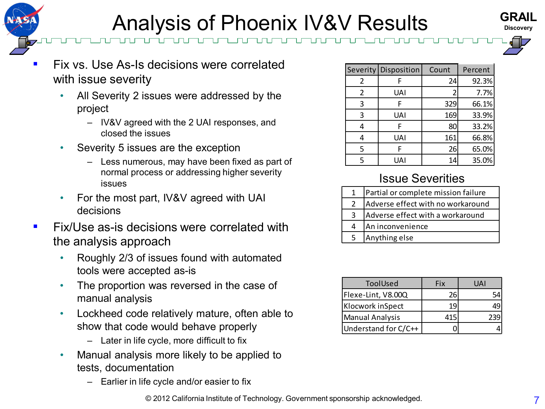### **Analysis of Phoenix IV&V Results**





- All Severity 2 issues were addressed by the project
	- IV&V agreed with the 2 UAI responses, and closed the issues
- Severity 5 issues are the exception
	- Less numerous, may have been fixed as part of normal process or addressing higher severity issues
- For the most part, IV&V agreed with UAI decisions
- **EXALUSE 25-18 decisions were correlated with** the analysis approach
	- Roughly 2/3 of issues found with automated tools were accepted as-is
	- The proportion was reversed in the case of manual analysis
	- Lockheed code relatively mature, often able to show that code would behave properly
		- Later in life cycle, more difficult to fix
	- Manual analysis more likely to be applied to tests, documentation
		- Earlier in life cycle and/or easier to fix

|   | Severity Disposition | Count | Percent |
|---|----------------------|-------|---------|
| 2 | F                    | 24    | 92.3%   |
| 2 | UAI                  |       | 7.7%    |
| 3 | F                    | 329   | 66.1%   |
| 3 | <b>UAI</b>           | 169   | 33.9%   |
| 4 | F                    | 80    | 33.2%   |
| 4 | UAI                  | 161   | 66.8%   |
| 5 | F                    | 26    | 65.0%   |
| 5 | UAI                  | 14    | 35.0%   |

#### Issue Severities

|   | Partial or complete mission failure |
|---|-------------------------------------|
| 2 | Adverse effect with no workaround   |
| 3 | Adverse effect with a workaround    |
| 4 | An inconvenience                    |
| 5 | Anything else                       |

| ToolUsed               | Fix | IΑΙ |
|------------------------|-----|-----|
| Flexe-Lint, V8.00Q     | 26  |     |
| Klocwork inSpect       |     |     |
| <b>Manual Analysis</b> |     |     |
| Understand for C/C++   |     |     |

© 2012 California Institute of Technology. Government sponsorship acknowledged.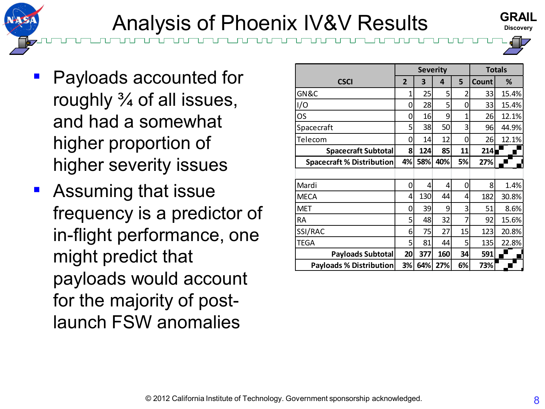### Analysis of Phoenix IV&V Results

- Payloads accounted for roughly  $\frac{3}{4}$  of all issues, and had a somewhat higher proportion of higher severity issues
- Assuming that issue frequency is a predictor of in-flight performance, one might predict that payloads would account for the majority of postlaunch FSW anomalies

|                                  |                | <b>Severity</b> |     | <b>Totals</b> |       |       |
|----------------------------------|----------------|-----------------|-----|---------------|-------|-------|
| <b>CSCI</b>                      | $\overline{2}$ | 3               | 4   | 5             | Count | ℅     |
| GN&C                             | 1              | 25              | 5   | 2             | 33    | 15.4% |
| I/O                              | 0              | 28              | 5   | 0             | 33    | 15.4% |
| OS                               | 0              | 16              | 9   | 1             | 26    | 12.1% |
| Spacecraft                       | 5              | 38              | 50  | 3             | 96    | 44.9% |
| Telecom                          | 0              | 14              | 12  | 0             | 26    | 12.1% |
| <b>Spacecraft Subtotal</b>       | 8              | 124             | 85  | 11            | 214   |       |
| <b>Spacecraft % Distribution</b> | 4%             | 58%             | 40% | 5%            | 27%   |       |
|                                  |                |                 |     |               |       |       |
| Mardi                            | 0              | 4               | 4   | 0             | 8     | 1.4%  |
| <b>MECA</b>                      | 4              | 130             | 44  | 4             | 182   | 30.8% |
| MET                              | 0              | 39              | 9   | 3             | 51    | 8.6%  |
| RА                               | 5              | 48              | 32  | 7             | 92    | 15.6% |
| SSI/RAC                          | 6              | 75              | 27  | 15            | 123   | 20.8% |
| <b>TEGA</b>                      | 5              | 81              | 44  | 5             | 135   | 22.8% |
| <b>Payloads Subtotal</b>         | 20             | 377             | 160 | 34            | 591   |       |
| <b>Payloads % Distribution</b>   | 3%             | 64%             | 27% | 6%            | 73%   |       |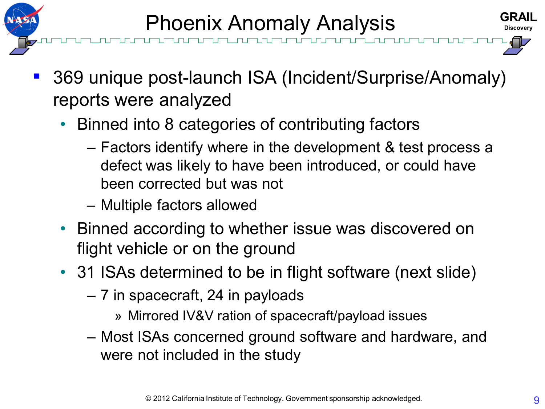

- 369 unique post-launch ISA (Incident/Surprise/Anomaly) reports were analyzed
	- Binned into 8 categories of contributing factors
		- Factors identify where in the development & test process a defect was likely to have been introduced, or could have been corrected but was not
		- Multiple factors allowed
	- Binned according to whether issue was discovered on flight vehicle or on the ground
	- 31 ISAs determined to be in flight software (next slide)
		- 7 in spacecraft, 24 in payloads
			- » Mirrored IV&V ration of spacecraft/payload issues
		- Most ISAs concerned ground software and hardware, and were not included in the study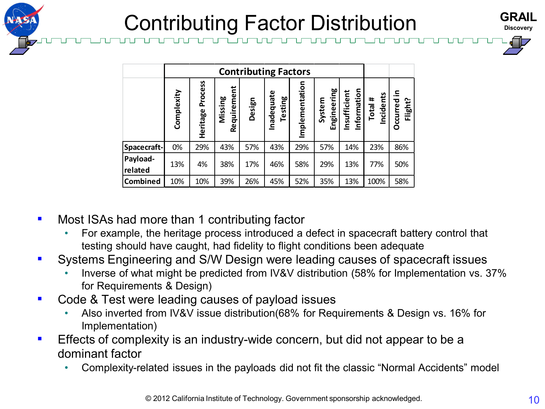

# Contributing Factor Distribution

| <b>GRAIL</b>     |  |
|------------------|--|
| <b>Discovery</b> |  |
|                  |  |

|                                                                                                                                                                                                                                                                                                                                                                                                                                                                                                                                                                                                                                                                                          | <b>Contributing Factors</b> |                  |                        |        |                              |                |                       |                             |                                                                                 |                        |  |    |
|------------------------------------------------------------------------------------------------------------------------------------------------------------------------------------------------------------------------------------------------------------------------------------------------------------------------------------------------------------------------------------------------------------------------------------------------------------------------------------------------------------------------------------------------------------------------------------------------------------------------------------------------------------------------------------------|-----------------------------|------------------|------------------------|--------|------------------------------|----------------|-----------------------|-----------------------------|---------------------------------------------------------------------------------|------------------------|--|----|
|                                                                                                                                                                                                                                                                                                                                                                                                                                                                                                                                                                                                                                                                                          | Complexity                  | Heritage Process | Requirement<br>Missing | Design | Inadequate<br><b>Testing</b> | Implementation | Engineering<br>System | Information<br>Insufficient | Incidents<br>Total #                                                            | Occurred in<br>Flight? |  |    |
| Spacecraft-                                                                                                                                                                                                                                                                                                                                                                                                                                                                                                                                                                                                                                                                              | 0%                          | 29%              | 43%                    | 57%    | 43%                          | 29%            | 57%                   | 14%                         | 23%                                                                             | 86%                    |  |    |
| Payload-<br>related                                                                                                                                                                                                                                                                                                                                                                                                                                                                                                                                                                                                                                                                      | 13%                         | 4%               | 38%                    | 17%    | 46%                          | 58%            | 29%                   | 13%                         | 77%                                                                             | 50%                    |  |    |
| Combined                                                                                                                                                                                                                                                                                                                                                                                                                                                                                                                                                                                                                                                                                 | 10%                         | 10%              | 39%                    | 26%    | 45%                          | 52%            | 35%                   | 13%                         | 100%                                                                            | 58%                    |  |    |
| ad more than 1 contributing factor<br>ople, the heritage process introduced a defect in spacecraft battery control that<br>hould have caught, had fidelity to flight conditions been adequate<br>gineering and S/W Design were leading causes of spacecraft issues<br>of what might be predicted from IV&V distribution (58% for Implementation vs. 37%<br>irements & Design)<br>t were leading causes of payload issues<br>erted from IV&V issue distribution(68% for Requirements & Design vs. 16% for<br>ntation)<br>omplexity is an industry-wide concern, but did not appear to be a<br>ctor<br>ity-related issues in the payloads did not fit the classic "Normal Accidents" model |                             |                  |                        |        |                              |                |                       |                             |                                                                                 |                        |  |    |
|                                                                                                                                                                                                                                                                                                                                                                                                                                                                                                                                                                                                                                                                                          |                             |                  |                        |        |                              |                |                       |                             | © 2012 California Institute of Technology. Government sponsorship acknowledged. |                        |  | 10 |

- Most ISAs had more than 1 contributing factor
	- For example, the heritage process introduced a defect in spacecraft battery control that testing should have caught, had fidelity to flight conditions been adequate
- Systems Engineering and S/W Design were leading causes of spacecraft issues
	- Inverse of what might be predicted from IV&V distribution (58% for Implementation vs. 37% for Requirements & Design)
- Code & Test were leading causes of payload issues
	- Also inverted from IV&V issue distribution(68% for Requirements & Design vs. 16% for Implementation)
- **Effects of complexity is an industry-wide concern, but did not appear to be a** dominant factor
	- Complexity-related issues in the payloads did not fit the classic "Normal Accidents" model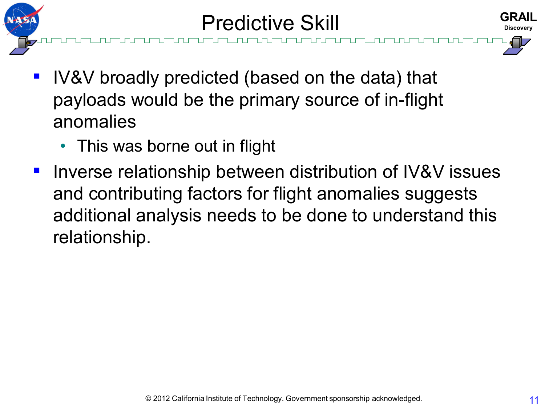





- IV&V broadly predicted (based on the data) that payloads would be the primary source of in-flight anomalies
	- This was borne out in flight
- Inverse relationship between distribution of IV&V issues and contributing factors for flight anomalies suggests additional analysis needs to be done to understand this relationship.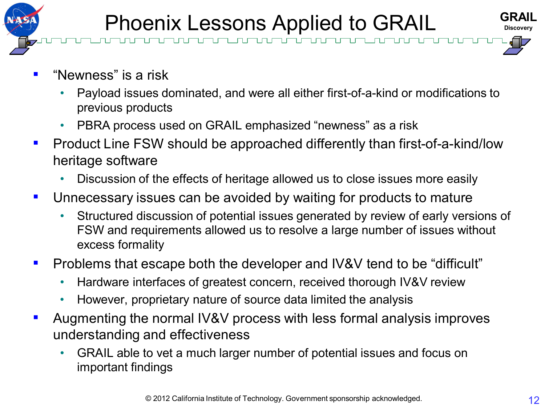

- "Newness" is a risk
	- Payload issues dominated, and were all either first-of-a-kind or modifications to previous products
	- PBRA process used on GRAIL emphasized "newness" as a risk
- Product Line FSW should be approached differently than first-of-a-kind/low heritage software
	- Discussion of the effects of heritage allowed us to close issues more easily
- Unnecessary issues can be avoided by waiting for products to mature
	- Structured discussion of potential issues generated by review of early versions of FSW and requirements allowed us to resolve a large number of issues without excess formality
- Problems that escape both the developer and IV&V tend to be "difficult"
	- Hardware interfaces of greatest concern, received thorough IV&V review
	- However, proprietary nature of source data limited the analysis
- Augmenting the normal IV&V process with less formal analysis improves understanding and effectiveness
	- GRAIL able to vet a much larger number of potential issues and focus on important findings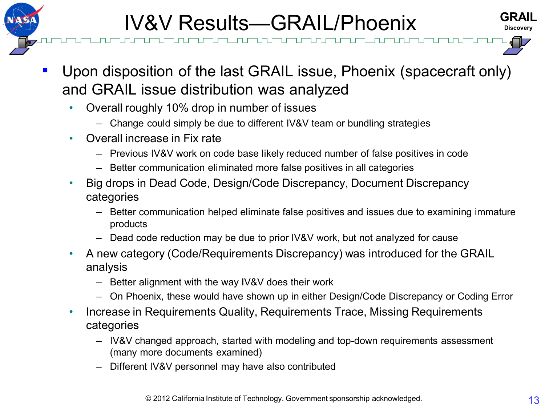



- Upon disposition of the last GRAIL issue, Phoenix (spacecraft only) and GRAIL issue distribution was analyzed
	- Overall roughly 10% drop in number of issues
		- Change could simply be due to different IV&V team or bundling strategies
	- Overall increase in Fix rate
		- Previous IV&V work on code base likely reduced number of false positives in code
		- Better communication eliminated more false positives in all categories
	- Big drops in Dead Code, Design/Code Discrepancy, Document Discrepancy categories
		- Better communication helped eliminate false positives and issues due to examining immature products
		- Dead code reduction may be due to prior IV&V work, but not analyzed for cause
	- A new category (Code/Requirements Discrepancy) was introduced for the GRAIL analysis
		- Better alignment with the way IV&V does their work
		- On Phoenix, these would have shown up in either Design/Code Discrepancy or Coding Error
	- Increase in Requirements Quality, Requirements Trace, Missing Requirements categories
		- IV&V changed approach, started with modeling and top-down requirements assessment (many more documents examined)
		- Different IV&V personnel may have also contributed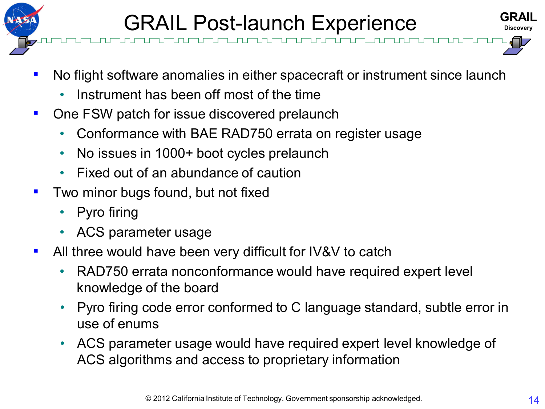





- No flight software anomalies in either spacecraft or instrument since launch
	- Instrument has been off most of the time
- One FSW patch for issue discovered prelaunch
	- Conformance with BAE RAD750 errata on register usage
	- No issues in 1000+ boot cycles prelaunch
	- Fixed out of an abundance of caution
- Two minor bugs found, but not fixed
	- Pyro firing
	- ACS parameter usage
- All three would have been very difficult for IV&V to catch
	- RAD750 errata nonconformance would have required expert level knowledge of the board
	- Pyro firing code error conformed to C language standard, subtle error in use of enums
	- ACS parameter usage would have required expert level knowledge of ACS algorithms and access to proprietary information